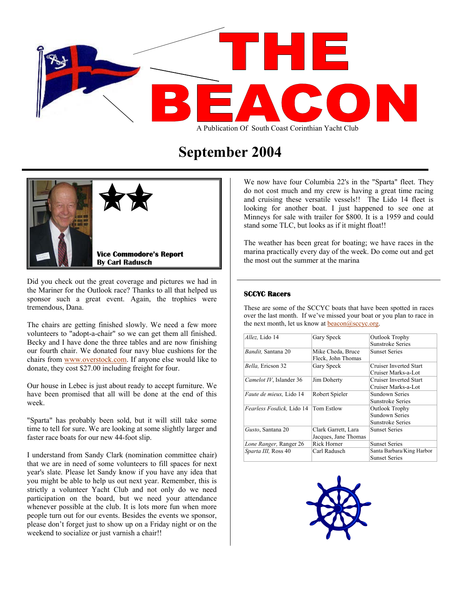

# **September 2004**



Did you check out the great coverage and pictures we had in the Mariner for the Outlook race? Thanks to all that helped us sponsor such a great event. Again, the trophies were tremendous, Dana.

The chairs are getting finished slowly. We need a few more volunteers to "adopt-a-chair" so we can get them all finished. Becky and I have done the three tables and are now finishing our fourth chair. We donated four navy blue cushions for the chairs from [www.overstock.com](http://www.overstock.com/). If anyone else would like to donate, they cost \$27.00 including freight for four.

Our house in Lebec is just about ready to accept furniture. We have been promised that all will be done at the end of this week.

"Sparta" has probably been sold, but it will still take some time to tell for sure. We are looking at some slightly larger and faster race boats for our new 44-foot slip.

I understand from Sandy Clark (nomination committee chair) that we are in need of some volunteers to fill spaces for next year's slate. Please let Sandy know if you have any idea that you might be able to help us out next year. Remember, this is strictly a volunteer Yacht Club and not only do we need participation on the board, but we need your attendance whenever possible at the club. It is lots more fun when more people turn out for our events. Besides the events we sponsor, please don't forget just to show up on a Friday night or on the weekend to socialize or just varnish a chair!!

We now have four Columbia 22's in the "Sparta" fleet. They do not cost much and my crew is having a great time racing and cruising these versatile vessels!! The Lido 14 fleet is looking for another boat. I just happened to see one at Minneys for sale with trailer for \$800. It is a 1959 and could stand some TLC, but looks as if it might float!!

The weather has been great for boating; we have races in the marina practically every day of the week. Do come out and get the most out the summer at the marina

#### **SCCYC Racers**

These are some of the SCCYC boats that have been spotted in races over the last month. If we've missed your boat or you plan to race in the next month, let us know at  $\frac{beacon(a)score.org}{b}$ .

| Allez, Lido 14                  | Gary Speck           | Outlook Trophy            |
|---------------------------------|----------------------|---------------------------|
|                                 |                      | Sunstroke Series          |
| <i>Bandit</i> , Santana 20      | Mike Cheda, Bruce    | <b>Sunset Series</b>      |
|                                 | Fleck, John Thomas   |                           |
| Bella, Ericson 32               | Gary Speck           | Cruiser Inverted Start    |
|                                 |                      | Cruiser Marks-a-Lot       |
| Camelot IV, Islander 36         | Jim Doherty          | Cruiser Inverted Start    |
|                                 |                      | Cruiser Marks-a-Lot       |
| <i>Faute de mieux</i> , Lido 14 | Robert Spieler       | Sundown Series            |
|                                 |                      | Sunstroke Series          |
| Fearless Fosdick, Lido 14       | Tom Estlow           | Outlook Trophy            |
|                                 |                      | <b>Sundown Series</b>     |
|                                 |                      | Sunstroke Series          |
| Gusto, Santana 20               | Clark Garrett, Lara  | <b>Sunset Series</b>      |
|                                 | Jacques, Jane Thomas |                           |
| Lone Ranger, Ranger 26          | Rick Horner          | <b>Sunset Series</b>      |
| Sparta III, Ross 40             | Carl Radusch         | Santa Barbara/King Harbor |
|                                 |                      | <b>Sunset Series</b>      |

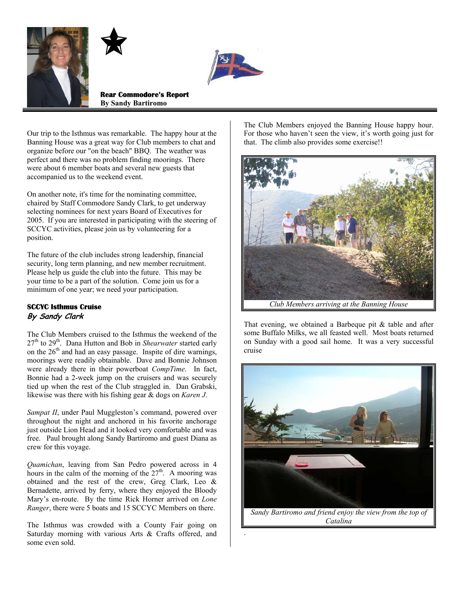





**Rear Commodore's Report By Sandy Bartiromo**

Our trip to the Isthmus was remarkable. The happy hour at the Banning House was a great way for Club members to chat and organize before our "on the beach" BBQ. The weather was perfect and there was no problem finding moorings. There were about 6 member boats and several new guests that accompanied us to the weekend event.

On another note, it's time for the nominating committee, chaired by Staff Commodore Sandy Clark, to get underway selecting nominees for next years Board of Executives for 2005. If you are interested in participating with the steering of SCCYC activities, please join us by volunteering for a position.

The future of the club includes strong leadership, financial security, long term planning, and new member recruitment. Please help us guide the club into the future. This may be your time to be a part of the solution. Come join us for a minimum of one year; we need your participation.

### **SCCYC Isthmus Cruise By Sandy Clark**

The Club Members cruised to the Isthmus the weekend of the 27<sup>th</sup> to 29<sup>th</sup>. Dana Hutton and Bob in *Shearwater* started early on the  $26<sup>th</sup>$  and had an easy passage. Inspite of dire warnings, moorings were readily obtainable. Dave and Bonnie Johnson were already there in their powerboat *CompTime*. In fact, Bonnie had a 2-week jump on the cruisers and was securely tied up when the rest of the Club straggled in. Dan Grabski, likewise was there with his fishing gear & dogs on *Karen J*.

*Sampat II*, under Paul Muggleston's command, powered over throughout the night and anchored in his favorite anchorage just outside Lion Head and it looked very comfortable and was free. Paul brought along Sandy Bartiromo and guest Diana as crew for this voyage.

*Quamichan*, leaving from San Pedro powered across in 4 hours in the calm of the morning of the  $27<sup>th</sup>$ . A mooring was obtained and the rest of the crew, Greg Clark, Leo & Bernadette, arrived by ferry, where they enjoyed the Bloody Mary's en-route. By the time Rick Horner arrived on *Lone Ranger*, there were 5 boats and 15 SCCYC Members on there.

The Isthmus was crowded with a County Fair going on Saturday morning with various Arts & Crafts offered, and some even sold.

The Club Members enjoyed the Banning House happy hour. For those who haven't seen the view, it's worth going just for that. The climb also provides some exercise!!



That evening, we obtained a Barbeque pit & table and after some Buffalo Milks, we all feasted well. Most boats returned on Sunday with a good sail home. It was a very successful cruise

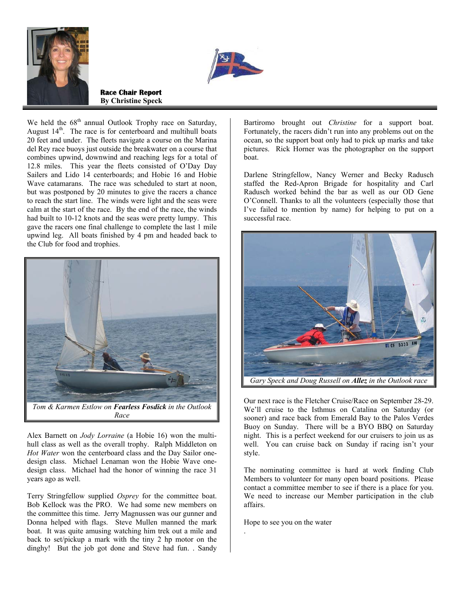



**Race Chair Report By Christine Speck**

We held the  $68<sup>th</sup>$  annual Outlook Trophy race on Saturday, August  $14<sup>th</sup>$ . The race is for centerboard and multihull boats 20 feet and under. The fleets navigate a course on the Marina del Rey race buoys just outside the breakwater on a course that combines upwind, downwind and reaching legs for a total of 12.8 miles. This year the fleets consisted of O'Day Day Sailers and Lido 14 centerboards; and Hobie 16 and Hobie Wave catamarans. The race was scheduled to start at noon, but was postponed by 20 minutes to give the racers a chance to reach the start line. The winds were light and the seas were calm at the start of the race. By the end of the race, the winds had built to 10-12 knots and the seas were pretty lumpy. This gave the racers one final challenge to complete the last 1 mile upwind leg. All boats finished by 4 pm and headed back to the Club for food and trophies.



Alex Barnett on *Jody Lorraine* (a Hobie 16) won the multihull class as well as the overall trophy. Ralph Middleton on *Hot Water* won the centerboard class and the Day Sailor onedesign class. Michael Lenaman won the Hobie Wave onedesign class. Michael had the honor of winning the race 31 years ago as well.

Terry Stringfellow supplied *Osprey* for the committee boat. Bob Kellock was the PRO. We had some new members on the committee this time. Jerry Magnussen was our gunner and Donna helped with flags. Steve Mullen manned the mark boat. It was quite amusing watching him trek out a mile and back to set/pickup a mark with the tiny 2 hp motor on the dinghy! But the job got done and Steve had fun. . Sandy

Bartiromo brought out *Christine* for a support boat. Fortunately, the racers didn't run into any problems out on the ocean, so the support boat only had to pick up marks and take pictures. Rick Horner was the photographer on the support boat.

Darlene Stringfellow, Nancy Werner and Becky Radusch staffed the Red-Apron Brigade for hospitality and Carl Radusch worked behind the bar as well as our OD Gene O'Connell. Thanks to all the volunteers (especially those that I've failed to mention by name) for helping to put on a successful race.



Our next race is the Fletcher Cruise/Race on September 28-29. We'll cruise to the Isthmus on Catalina on Saturday (or sooner) and race back from Emerald Bay to the Palos Verdes Buoy on Sunday. There will be a BYO BBQ on Saturday night. This is a perfect weekend for our cruisers to join us as well. You can cruise back on Sunday if racing isn't your style.

The nominating committee is hard at work finding Club Members to volunteer for many open board positions. Please contact a committee member to see if there is a place for you. We need to increase our Member participation in the club affairs.

Hope to see you on the water

.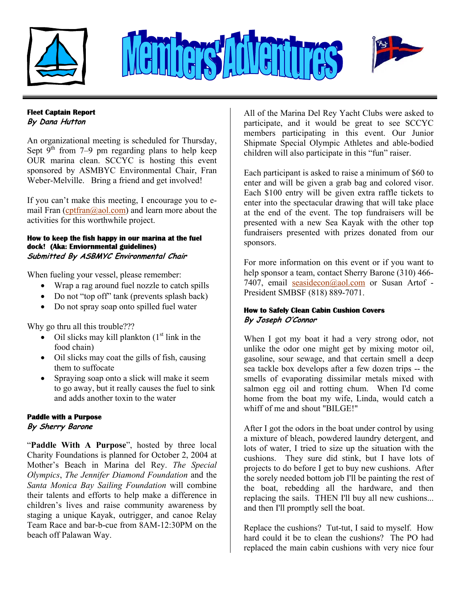





# **Fleet Captain Report**

**By Dana Hutton** 

An organizational meeting is scheduled for Thursday, Sept  $9^{th}$  from 7–9 pm regarding plans to help keep OUR marina clean. SCCYC is hosting this event sponsored by ASMBYC Environmental Chair, Fran Weber-Melville. Bring a friend and get involved!

If you can't make this meeting, I encourage you to email Fran  $(\text{cotfran}(\partial_{a} \text{aol.com})$  and learn more about the activities for this worthwhile project.

#### **How to keep the fish happy in our marina at the fuel dock! (Aka: Enviornmental guidelines) Submitted By ASBMYC Environmental Chair**

When fueling your vessel, please remember:

- Wrap a rag around fuel nozzle to catch spills
- Do not "top off" tank (prevents splash back)
- Do not spray soap onto spilled fuel water

Why go thru all this trouble???

- Oil slicks may kill plankton  $(1<sup>st</sup>$  link in the food chain)
- Oil slicks may coat the gills of fish, causing them to suffocate
- Spraying soap onto a slick will make it seem to go away, but it really causes the fuel to sink and adds another toxin to the water

# **Paddle with a Purpose**

# **By Sherry Barone**

"**Paddle With A Purpose**", hosted by three local Charity Foundations is planned for October 2, 2004 at Mother's Beach in Marina del Rey. *The Special Olympics*, *The Jennifer Diamond Foundation* and the *Santa Monica Bay Sailing Foundation* will combine their talents and efforts to help make a difference in children's lives and raise community awareness by staging a unique Kayak, outrigger, and canoe Relay Team Race and bar-b-cue from 8AM-12:30PM on the beach off Palawan Way.

All of the Marina Del Rey Yacht Clubs were asked to participate, and it would be great to see SCCYC members participating in this event. Our Junior Shipmate Special Olympic Athletes and able-bodied children will also participate in this "fun" raiser.

Each participant is asked to raise a minimum of \$60 to enter and will be given a grab bag and colored visor. Each \$100 entry will be given extra raffle tickets to enter into the spectacular drawing that will take place at the end of the event. The top fundraisers will be presented with a new Sea Kayak with the other top fundraisers presented with prizes donated from our sponsors.

For more information on this event or if you want to help sponsor a team, contact Sherry Barone (310) 466- 7407, email [seasidecon@aol.com](mailto:seasidecon@aol.com) or Susan Artof - President SMBSF (818) 889-7071.

# **How to Safely Clean Cabin Cushion Covers By Joseph O'Connor**

When I got my boat it had a very strong odor, not unlike the odor one might get by mixing motor oil, gasoline, sour sewage, and that certain smell a deep sea tackle box develops after a few dozen trips -- the smells of evaporating dissimilar metals mixed with salmon egg oil and rotting chum. When I'd come home from the boat my wife, Linda, would catch a whiff of me and shout "BILGE!"

After I got the odors in the boat under control by using a mixture of bleach, powdered laundry detergent, and lots of water, I tried to size up the situation with the cushions. They sure did stink, but I have lots of projects to do before I get to buy new cushions. After the sorely needed bottom job I'll be painting the rest of the boat, rebedding all the hardware, and then replacing the sails. THEN I'll buy all new cushions... and then I'll promptly sell the boat.

Replace the cushions? Tut-tut, I said to myself. How hard could it be to clean the cushions? The PO had replaced the main cabin cushions with very nice four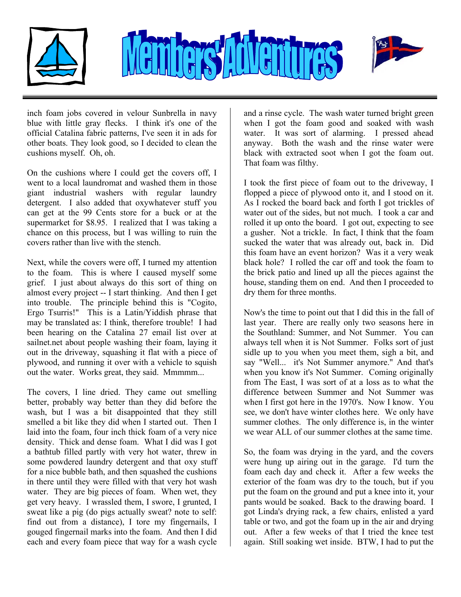





inch foam jobs covered in velour Sunbrella in navy blue with little gray flecks. I think it's one of the official Catalina fabric patterns, I've seen it in ads for other boats. They look good, so I decided to clean the cushions myself. Oh, oh.

On the cushions where I could get the covers off, I went to a local laundromat and washed them in those giant industrial washers with regular laundry detergent. I also added that oxywhatever stuff you can get at the 99 Cents store for a buck or at the supermarket for \$8.95. I realized that I was taking a chance on this process, but I was willing to ruin the covers rather than live with the stench.

Next, while the covers were off, I turned my attention to the foam. This is where I caused myself some grief. I just about always do this sort of thing on almost every project -- I start thinking. And then I get into trouble. The principle behind this is "Cogito, Ergo Tsurris!" This is a Latin/Yiddish phrase that may be translated as: I think, therefore trouble! I had been hearing on the Catalina 27 email list over at sailnet.net about people washing their foam, laying it out in the driveway, squashing it flat with a piece of plywood, and running it over with a vehicle to squish out the water. Works great, they said. Mmmmm...

The covers, I line dried. They came out smelling better, probably way better than they did before the wash, but I was a bit disappointed that they still smelled a bit like they did when I started out. Then I laid into the foam, four inch thick foam of a very nice density. Thick and dense foam. What I did was I got a bathtub filled partly with very hot water, threw in some powdered laundry detergent and that oxy stuff for a nice bubble bath, and then squashed the cushions in there until they were filled with that very hot wash water. They are big pieces of foam. When wet, they get very heavy. I wrassled them, I swore, I grunted, I sweat like a pig (do pigs actually sweat? note to self: find out from a distance), I tore my fingernails, I gouged fingernail marks into the foam. And then I did each and every foam piece that way for a wash cycle

and a rinse cycle. The wash water turned bright green when I got the foam good and soaked with wash water. It was sort of alarming. I pressed ahead anyway. Both the wash and the rinse water were black with extracted soot when I got the foam out. That foam was filthy.

I took the first piece of foam out to the driveway, I flopped a piece of plywood onto it, and I stood on it. As I rocked the board back and forth I got trickles of water out of the sides, but not much. I took a car and rolled it up onto the board. I got out, expecting to see a gusher. Not a trickle. In fact, I think that the foam sucked the water that was already out, back in. Did this foam have an event horizon? Was it a very weak black hole? I rolled the car off and took the foam to the brick patio and lined up all the pieces against the house, standing them on end. And then I proceeded to dry them for three months.

Now's the time to point out that I did this in the fall of last year. There are really only two seasons here in the Southland: Summer, and Not Summer. You can always tell when it is Not Summer. Folks sort of just sidle up to you when you meet them, sigh a bit, and say "Well... it's Not Summer anymore." And that's when you know it's Not Summer. Coming originally from The East, I was sort of at a loss as to what the difference between Summer and Not Summer was when I first got here in the 1970's. Now I know. You see, we don't have winter clothes here. We only have summer clothes. The only difference is, in the winter we wear ALL of our summer clothes at the same time.

So, the foam was drying in the yard, and the covers were hung up airing out in the garage. I'd turn the foam each day and check it. After a few weeks the exterior of the foam was dry to the touch, but if you put the foam on the ground and put a knee into it, your pants would be soaked. Back to the drawing board. I got Linda's drying rack, a few chairs, enlisted a yard table or two, and got the foam up in the air and drying out. After a few weeks of that I tried the knee test again. Still soaking wet inside. BTW, I had to put the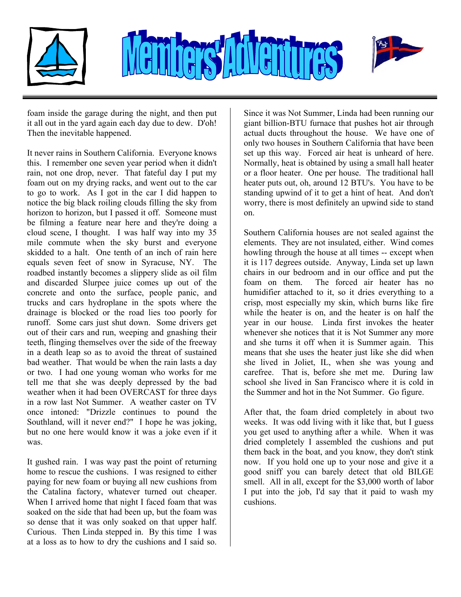



foam inside the garage during the night, and then put it all out in the yard again each day due to dew. D'oh! Then the inevitable happened.

It never rains in Southern California. Everyone knows this. I remember one seven year period when it didn't rain, not one drop, never. That fateful day I put my foam out on my drying racks, and went out to the car to go to work. As I got in the car I did happen to notice the big black roiling clouds filling the sky from horizon to horizon, but I passed it off. Someone must be filming a feature near here and they're doing a cloud scene, I thought. I was half way into my 35 mile commute when the sky burst and everyone skidded to a halt. One tenth of an inch of rain here equals seven feet of snow in Syracuse, NY. The roadbed instantly becomes a slippery slide as oil film and discarded Slurpee juice comes up out of the concrete and onto the surface, people panic, and trucks and cars hydroplane in the spots where the drainage is blocked or the road lies too poorly for runoff. Some cars just shut down. Some drivers get out of their cars and run, weeping and gnashing their teeth, flinging themselves over the side of the freeway in a death leap so as to avoid the threat of sustained bad weather. That would be when the rain lasts a day or two. I had one young woman who works for me tell me that she was deeply depressed by the bad weather when it had been OVERCAST for three days in a row last Not Summer. A weather caster on TV once intoned: "Drizzle continues to pound the Southland, will it never end?" I hope he was joking, but no one here would know it was a joke even if it was.

It gushed rain. I was way past the point of returning home to rescue the cushions. I was resigned to either paying for new foam or buying all new cushions from the Catalina factory, whatever turned out cheaper. When I arrived home that night I faced foam that was soaked on the side that had been up, but the foam was so dense that it was only soaked on that upper half. Curious. Then Linda stepped in. By this time I was at a loss as to how to dry the cushions and I said so.

Since it was Not Summer, Linda had been running our giant billion-BTU furnace that pushes hot air through actual ducts throughout the house. We have one of only two houses in Southern California that have been set up this way. Forced air heat is unheard of here. Normally, heat is obtained by using a small hall heater or a floor heater. One per house. The traditional hall heater puts out, oh, around 12 BTU's. You have to be standing upwind of it to get a hint of heat. And don't worry, there is most definitely an upwind side to stand on.

Southern California houses are not sealed against the elements. They are not insulated, either. Wind comes howling through the house at all times -- except when it is 117 degrees outside. Anyway, Linda set up lawn chairs in our bedroom and in our office and put the foam on them. The forced air heater has no humidifier attached to it, so it dries everything to a crisp, most especially my skin, which burns like fire while the heater is on, and the heater is on half the year in our house. Linda first invokes the heater whenever she notices that it is Not Summer any more and she turns it off when it is Summer again. This means that she uses the heater just like she did when she lived in Joliet, IL, when she was young and carefree. That is, before she met me. During law school she lived in San Francisco where it is cold in the Summer and hot in the Not Summer. Go figure.

After that, the foam dried completely in about two weeks. It was odd living with it like that, but I guess you get used to anything after a while. When it was dried completely I assembled the cushions and put them back in the boat, and you know, they don't stink now. If you hold one up to your nose and give it a good sniff you can barely detect that old BILGE smell. All in all, except for the \$3,000 worth of labor I put into the job, I'd say that it paid to wash my cushions.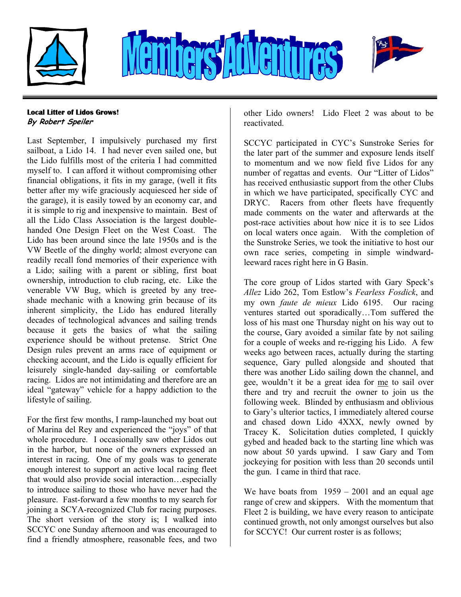



## **Local Litter of Lidos Grows! By Robert Speiler**

Last September, I impulsively purchased my first sailboat, a Lido 14. I had never even sailed one, but the Lido fulfills most of the criteria I had committed myself to. I can afford it without compromising other financial obligations, it fits in my garage, (well it fits better after my wife graciously acquiesced her side of the garage), it is easily towed by an economy car, and it is simple to rig and inexpensive to maintain. Best of all the Lido Class Association is the largest doublehanded One Design Fleet on the West Coast. The Lido has been around since the late 1950s and is the VW Beetle of the dinghy world; almost everyone can readily recall fond memories of their experience with a Lido; sailing with a parent or sibling, first boat ownership, introduction to club racing, etc. Like the venerable VW Bug, which is greeted by any treeshade mechanic with a knowing grin because of its inherent simplicity, the Lido has endured literally decades of technological advances and sailing trends because it gets the basics of what the sailing experience should be without pretense. Strict One Design rules prevent an arms race of equipment or checking account, and the Lido is equally efficient for leisurely single-handed day-sailing or comfortable racing. Lidos are not intimidating and therefore are an ideal "gateway" vehicle for a happy addiction to the lifestyle of sailing.

For the first few months, I ramp-launched my boat out of Marina del Rey and experienced the "joys" of that whole procedure. I occasionally saw other Lidos out in the harbor, but none of the owners expressed an interest in racing. One of my goals was to generate enough interest to support an active local racing fleet that would also provide social interaction…especially to introduce sailing to those who have never had the pleasure. Fast-forward a few months to my search for joining a SCYA-recognized Club for racing purposes. The short version of the story is; I walked into SCCYC one Sunday afternoon and was encouraged to find a friendly atmosphere, reasonable fees, and two

other Lido owners! Lido Fleet 2 was about to be reactivated.

SCCYC participated in CYC's Sunstroke Series for the later part of the summer and exposure lends itself to momentum and we now field five Lidos for any number of regattas and events. Our "Litter of Lidos" has received enthusiastic support from the other Clubs in which we have participated, specifically CYC and DRYC. Racers from other fleets have frequently made comments on the water and afterwards at the post-race activities about how nice it is to see Lidos on local waters once again. With the completion of the Sunstroke Series, we took the initiative to host our own race series, competing in simple windwardleeward races right here in G Basin.

The core group of Lidos started with Gary Speck's *Allez* Lido 262, Tom Estlow's *Fearless Fosdick*, and my own *faute de mieux* Lido 6195. Our racing ventures started out sporadically…Tom suffered the loss of his mast one Thursday night on his way out to the course, Gary avoided a similar fate by not sailing for a couple of weeks and re-rigging his Lido. A few weeks ago between races, actually during the starting sequence, Gary pulled alongside and shouted that there was another Lido sailing down the channel, and gee, wouldn't it be a great idea for me to sail over there and try and recruit the owner to join us the following week. Blinded by enthusiasm and oblivious to Gary's ulterior tactics, I immediately altered course and chased down Lido 4XXX, newly owned by Tracey K. Solicitation duties completed, I quickly gybed and headed back to the starting line which was now about 50 yards upwind. I saw Gary and Tom jockeying for position with less than 20 seconds until the gun. I came in third that race.

We have boats from  $1959 - 2001$  and an equal age range of crew and skippers. With the momentum that Fleet 2 is building, we have every reason to anticipate continued growth, not only amongst ourselves but also for SCCYC! Our current roster is as follows;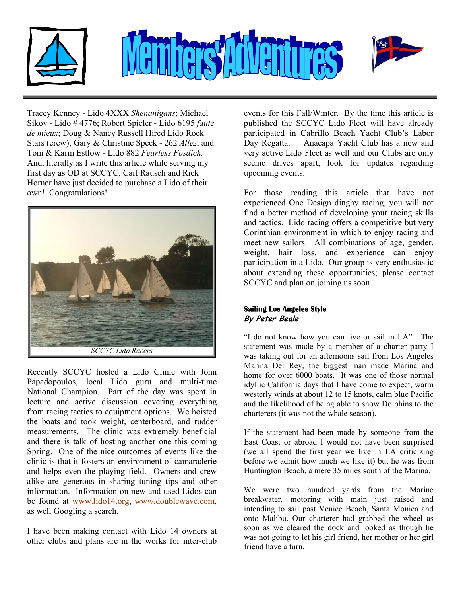

Tracey Kenney - Lido 4XXX *Shenanigans*; Michael Sikov - Lido # 4776; Robert Spieler - Lido 6195 *faute de mieux*; Doug & Nancy Russell Hired Lido Rock Stars (crew); Gary & Christine Speck - 262 *Allez*; and Tom & Karm Estlow - Lido 882 *Fearless Fosdick*. And, literally as I write this article while serving my first day as OD at SCCYC, Carl Rausch and Rick Horner have just decided to purchase a Lido of their own! Congratulations!



Recently SCCYC hosted a Lido Clinic with John Papadopoulos, local Lido guru and multi-time National Champion. Part of the day was spent in lecture and active discussion covering everything from racing tactics to equipment options. We hoisted the boats and took weight, centerboard, and rudder measurements. The clinic was extremely beneficial and there is talk of hosting another one this coming Spring. One of the nice outcomes of events like the clinic is that it fosters an environment of camaraderie and helps even the playing field. Owners and crew alike are generous in sharing tuning tips and other information. Information on new and used Lidos can be found at [www.lido14.org,](http://www.lido14.org) [www.doublewave.com](http://www.doublewave.com), as well Googling a search.

I have been making contact with Lido 14 owners at other clubs and plans are in the works for inter-club

events for this Fall/Winter. By the time this article is published the SCCYC Lido Fleet will have already participated in Cabrillo Beach Yacht Club's Labor Day Regatta. Anacapa Yacht Club has a new and very active Lido Fleet as well and our Clubs are only scenic drives apart, look for updates regarding upcoming events.

For those reading this article that have not experienced One Design dinghy racing, you will not find a better method of developing your racing skills and tactics. Lido racing offers a competitive but very Corinthian environment in which to enjoy racing and meet new sailors. All combinations of age, gender, weight, hair loss, and experience can enjoy participation in a Lido. Our group is very enthusiastic about extending these opportunities; please contact SCCYC and plan on joining us soon.

### **Sailing Los Angeles Style By Peter Beale**

"I do not know how you can live or sail in LA". The statement was made by a member of a charter party I was taking out for an afternoons sail from Los Angeles Marina Del Rey, the biggest man made Marina and home for over 6000 boats. It was one of those normal idyllic California days that I have come to expect, warm westerly winds at about 12 to 15 knots, calm blue Pacific and the likelihood of being able to show Dolphins to the charterers (it was not the whale season).

If the statement had been made by someone from the East Coast or abroad I would not have been surprised (we all spend the first year we live in LA criticizing before we admit how much we like it) but he was from Huntington Beach, a mere 35 miles south of the Marina.

We were two hundred yards from the Marine breakwater, motoring with main just raised and intending to sail past Venice Beach, Santa Monica and onto Malibu. Our charterer had grabbed the wheel as soon as we cleared the dock and looked as though he was not going to let his girl friend, her mother or her girl friend have a turn.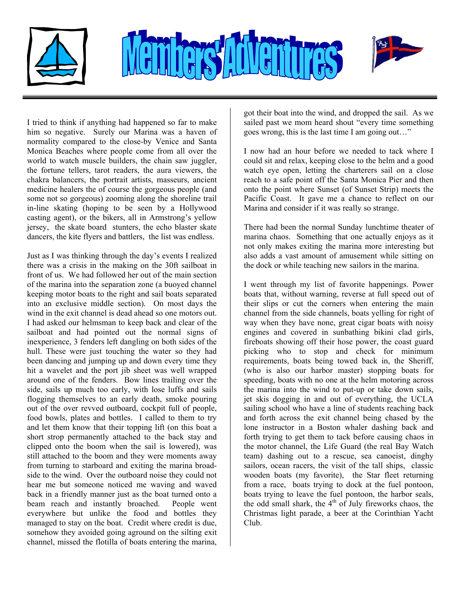



I tried to think if anything had happened so far to make him so negative. Surely our Marina was a haven of normality compared to the close-by Venice and Santa Monica Beaches where people come from all over the world to watch muscle builders, the chain saw juggler, the fortune tellers, tarot readers, the aura viewers, the chakra balancers, the portrait artists, masseurs, ancient medicine healers the of course the gorgeous people (and some not so gorgeous) zooming along the shoreline trail in-line skating (hoping to be seen by a Hollywood casting agent), or the bikers, all in Armstrong's yellow jersey, the skate board stunters, the echo blaster skate dancers, the kite flyers and battlers, the list was endless.

Just as I was thinking through the day's events I realized there was a crisis in the making on the 30ft sailboat in front of us. We had followed her out of the main section of the marina into the separation zone (a buoyed channel keeping motor boats to the right and sail boats separated into an exclusive middle section). On most days the wind in the exit channel is dead ahead so one motors out. I had asked our helmsman to keep back and clear of the sailboat and had pointed out the normal signs of inexperience, 3 fenders left dangling on both sides of the hull. These were just touching the water so they had been dancing and jumping up and down every time they hit a wavelet and the port jib sheet was well wrapped around one of the fenders. Bow lines trailing over the side, sails up much too early, with lose luffs and sails flogging themselves to an early death, smoke pouring out of the over revved outboard, cockpit full of people, food bowls, plates and bottles. I called to them to try and let them know that their topping lift (on this boat a short strop permanently attached to the back stay and clipped onto the boom when the sail is lowered), was still attached to the boom and they were moments away from turning to starboard and exiting the marina broadside to the wind. Over the outboard noise they could not hear me but someone noticed me waving and waved back in a friendly manner just as the boat turned onto a beam reach and instantly broached. People went everywhere but unlike the food and bottles they managed to stay on the boat. Credit where credit is due, somehow they avoided going aground on the silting exit channel, missed the flotilla of boats entering the marina,

got their boat into the wind, and dropped the sail. As we sailed past we mom heard shout "every time something goes wrong, this is the last time I am going out…"

I now had an hour before we needed to tack where I could sit and relax, keeping close to the helm and a good watch eye open, letting the charterers sail on a close reach to a safe point off the Santa Monica Pier and then onto the point where Sunset (of Sunset Strip) meets the Pacific Coast. It gave me a chance to reflect on our Marina and consider if it was really so strange.

There had been the normal Sunday lunchtime theater of marina chaos. Something that one actually enjoys as it not only makes exiting the marina more interesting but also adds a vast amount of amusement while sitting on the dock or while teaching new sailors in the marina.

I went through my list of favorite happenings. Power boats that, without warning, reverse at full speed out of their slips or cut the corners when entering the main channel from the side channels, boats yelling for right of way when they have none, great cigar boats with noisy engines and covered in sunbathing bikini clad girls, fireboats showing off their hose power, the coast guard picking who to stop and check for minimum requirements, boats being towed back in, the Sheriff, (who is also our harbor master) stopping boats for speeding, boats with no one at the helm motoring across the marina into the wind to put-up or take down sails, jet skis dogging in and out of everything, the UCLA sailing school who have a line of students reaching back and forth across the exit channel being chased by the lone instructor in a Boston whaler dashing back and forth trying to get them to tack before causing chaos in the motor channel, the Life Guard (the real Bay Watch team) dashing out to a rescue, sea canoeist, dinghy sailors, ocean racers, the visit of the tall ships, classic wooden boats (my favorite), the Star fleet returning from a race, boats trying to dock at the fuel pontoon, boats trying to leave the fuel pontoon, the harbor seals, the odd small shark, the  $4<sup>th</sup>$  of July fireworks chaos, the Christmas light parade, a beer at the Corinthian Yacht Club.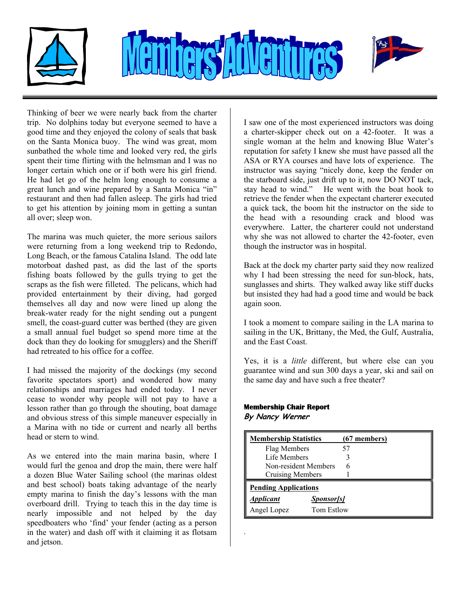



Thinking of beer we were nearly back from the charter trip. No dolphins today but everyone seemed to have a good time and they enjoyed the colony of seals that bask on the Santa Monica buoy. The wind was great, mom sunbathed the whole time and looked very red, the girls spent their time flirting with the helmsman and I was no longer certain which one or if both were his girl friend. He had let go of the helm long enough to consume a great lunch and wine prepared by a Santa Monica "in" restaurant and then had fallen asleep. The girls had tried to get his attention by joining mom in getting a suntan all over; sleep won.

The marina was much quieter, the more serious sailors were returning from a long weekend trip to Redondo, Long Beach, or the famous Catalina Island. The odd late motorboat dashed past, as did the last of the sports fishing boats followed by the gulls trying to get the scraps as the fish were filleted. The pelicans, which had provided entertainment by their diving, had gorged themselves all day and now were lined up along the break-water ready for the night sending out a pungent smell, the coast-guard cutter was berthed (they are given a small annual fuel budget so spend more time at the dock than they do looking for smugglers) and the Sheriff had retreated to his office for a coffee.

I had missed the majority of the dockings (my second favorite spectators sport) and wondered how many relationships and marriages had ended today. I never cease to wonder why people will not pay to have a lesson rather than go through the shouting, boat damage and obvious stress of this simple maneuver especially in a Marina with no tide or current and nearly all berths head or stern to wind.

As we entered into the main marina basin, where I would furl the genoa and drop the main, there were half a dozen Blue Water Sailing school (the marinas oldest and best school) boats taking advantage of the nearly empty marina to finish the day's lessons with the man overboard drill. Trying to teach this in the day time is nearly impossible and not helped by the day speedboaters who 'find' your fender (acting as a person in the water) and dash off with it claiming it as flotsam and jetson.

I saw one of the most experienced instructors was doing a charter-skipper check out on a 42-footer. It was a single woman at the helm and knowing Blue Water's reputation for safety I knew she must have passed all the ASA or RYA courses and have lots of experience. The instructor was saying "nicely done, keep the fender on the starboard side, just drift up to it, now DO NOT tack, stay head to wind." He went with the boat hook to retrieve the fender when the expectant charterer executed a quick tack, the boom hit the instructor on the side to the head with a resounding crack and blood was everywhere. Latter, the charterer could not understand why she was not allowed to charter the 42-footer, even though the instructor was in hospital.

Back at the dock my charter party said they now realized why I had been stressing the need for sun-block, hats, sunglasses and shirts. They walked away like stiff ducks but insisted they had had a good time and would be back again soon.

I took a moment to compare sailing in the LA marina to sailing in the UK, Brittany, the Med, the Gulf, Australia, and the East Coast.

Yes, it is a *little* different, but where else can you guarantee wind and sun 300 days a year, ski and sail on the same day and have such a free theater?

#### **Membership Chair Report**

**By Nancy Werner** 

.

| <b>Membership Statistics</b> |                   | $(67$ members) |  |  |
|------------------------------|-------------------|----------------|--|--|
| Flag Members                 |                   | 57             |  |  |
| Life Members                 |                   |                |  |  |
| Non-resident Members         |                   |                |  |  |
| Cruising Members             |                   |                |  |  |
| <b>Pending Applications</b>  |                   |                |  |  |
| <i><b>Applicant</b></i>      | <b>Sponsor[s]</b> |                |  |  |
| Angel Lopez                  | Tom Estlow        |                |  |  |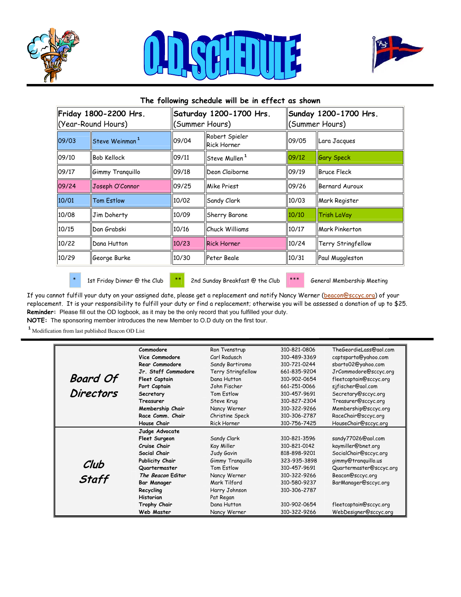





# **The following schedule will be in effect as shown Friday 1800-2200 Hrs.** (Year-Round Hours) **Saturday 1200-1700 Hrs.** (Summer Hours) **Sunday 1200-1700 Hrs.** (Summer Hours) 09/03  $\left\|$ Steve Weinman<sup>1</sup>  $\left\|$ 09/04  $\right\|$ Robert Spieler Rick Horner 09/05 Lara Jacques 09/10 ||Bob Kellock ||09/11 ||Steve Mullen<sup>1</sup> ||09/12 ||Gary Speck 09/17  $\parallel$ Gimmy Tranquillo  $\parallel$ 09/18  $\parallel$ Deon Claiborne  $\parallel$ 09/19  $\parallel$ Bruce Fleck 09/24 |Joseph O'Connor |09/25 ||Mike Priest |09/26 ||Bernard Auroux 10/01 || Tom Estlow || 10/02 || Sandy Clark || 10/03 || Mark Register 10/08 ||Jim Doherty ||10/09 ||Sherry Barone ||10/10 ||Trish LaVay 10/15 Dan Grabski 10/16 Chuck Williams 10/17 Mark Pinkerton 10/22 **Dana Hutton 10/23 Rick Horner 10/24 Terry Stringfellow** 10/29 ||George Burke ||10/30 ||Peter Beale ||10/31 ||Paul Muggleston

\* 1st Friday Dinner @ the Club \*\* 2nd Sunday Breakfast @ the Club \*\*\* General Membership Meeting

If you cannot fulfill your duty on your assigned date, please get a replacement and notify Nancy Werner [\(beacon@sccyc.org](mailto:beacon@sccyc.org)) of your replacement. It is your responsibility to fulfill your duty or find a replacement; otherwise you will be assessed a donation of up to \$25. **Reminder:** Please fill out the OD logbook, as it may be the only record that you fulfilled your duty. **NOTE:** The sponsoring member introduces the new Member to O.D duty on the first tour.

<sup>1</sup> Modification from last published Beacon OD List

|                  | Commodore            | Ron Tvenstrup      | 310-821-0806 | TheGeordieLass@aol.com  |
|------------------|----------------------|--------------------|--------------|-------------------------|
|                  | Vice Commodore       | Carl Radusch       | 310-489-3369 | captsparta@yahoo.com    |
|                  | Rear Commodore       | Sandy Bartiromo    | 310-721-0244 | sbarto02@yahoo.com      |
|                  | Jr. Staff Commodore  | Terry Stringfellow | 661-835-9204 | JrCommodore@sccyc.org   |
| <b>Board Of</b>  | <b>Fleet Captain</b> | Dana Hutton        | 310-902-0654 | fleetcaptain@sccyc.org  |
|                  | Port Captain         | John Fischer       | 661-251-0066 | sjfischer@aol.com       |
| <b>Directors</b> | Secretary            | Tom Fstlow         | 310-457-9691 | Secretary@sccyc.org     |
|                  | <b>Treasurer</b>     | Steve Krug         | 310-827-2304 | Treasurer@sccyc.org     |
|                  | Membership Chair     | Nancy Werner       | 310-322-9266 | Membership@sccyc.org    |
|                  | Race Comm. Chair     | Christine Speck    | 310-306-2787 | RaceChair@sccyc.org     |
|                  | House Chair          | <b>Rick Horner</b> | 310-756-7425 | HouseChair@sccyc.org    |
|                  | Judge Advocate       |                    |              |                         |
|                  | Fleet Surgeon        | Sandy Clark        | 310-821-3596 | sandy77026@aol.com      |
|                  | Cruise Chair         | Kay Miller         | 310-821-0142 | kaymiller@bnet.org      |
|                  | Social Chair         | Judy Gavin         | 818-898-9201 | SocialChair@sccyc.org   |
|                  | Publicity Chair      | Gimmy Tranguillo   | 323-935-3898 | gimmy@tranquillo.us     |
| Club             | Quartermaster        | Tom Estlow         | 310-457-9691 | Quartermaster@sccyc.org |
| <b>Staff</b>     | The Beacon Editor    | Nancy Werner       | 310-322-9266 | Beacon@sccyc.org        |
|                  | <b>Bar Manager</b>   | Mark Tilford       | 310-580-9237 | BarManager@sccyc.org    |
|                  | Recycling            | Harry Johnson      | 310-306-2787 |                         |
|                  | <b>Historian</b>     | Pat Regan          |              |                         |
|                  | Trophy Chair         | Dana Hutton        | 310-902-0654 | fleetcaptain@sccyc.org  |
|                  | Web Master           | Nancy Werner       | 310-322-9266 | WebDesigner@sccyc.org   |